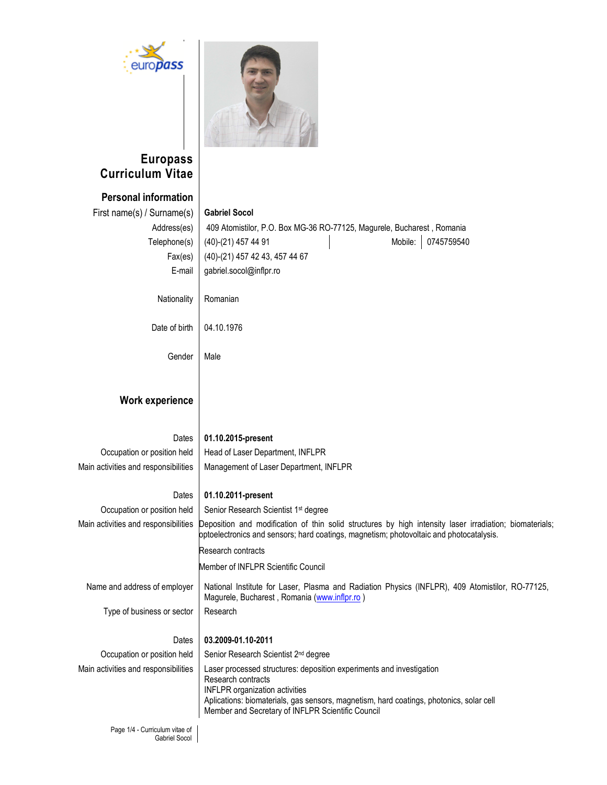



# **Europass Curriculum Vitae**

# **Personal information**

| Personal Information                 |                                                                                                                                                                                                    |
|--------------------------------------|----------------------------------------------------------------------------------------------------------------------------------------------------------------------------------------------------|
| First name(s) / Surname(s)           | <b>Gabriel Socol</b>                                                                                                                                                                               |
| Address(es)                          | 409 Atomistilor, P.O. Box MG-36 RO-77125, Magurele, Bucharest, Romania                                                                                                                             |
| Telephone(s)                         | Mobile:<br>0745759540<br>(40)-(21) 457 44 91                                                                                                                                                       |
| Fax(es)                              | (40)-(21) 457 42 43, 457 44 67                                                                                                                                                                     |
| E-mail                               | gabriel.socol@inflpr.ro                                                                                                                                                                            |
|                                      |                                                                                                                                                                                                    |
| Nationality                          | Romanian                                                                                                                                                                                           |
|                                      |                                                                                                                                                                                                    |
| Date of birth                        | 04.10.1976                                                                                                                                                                                         |
|                                      |                                                                                                                                                                                                    |
| Gender                               | Male                                                                                                                                                                                               |
|                                      |                                                                                                                                                                                                    |
|                                      |                                                                                                                                                                                                    |
| <b>Work experience</b>               |                                                                                                                                                                                                    |
|                                      |                                                                                                                                                                                                    |
| Dates                                | 01.10.2015-present                                                                                                                                                                                 |
| Occupation or position held          | Head of Laser Department, INFLPR                                                                                                                                                                   |
| Main activities and responsibilities | Management of Laser Department, INFLPR                                                                                                                                                             |
|                                      |                                                                                                                                                                                                    |
| Dates                                | 01.10.2011-present                                                                                                                                                                                 |
| Occupation or position held          | Senior Research Scientist 1 <sup>st</sup> degree                                                                                                                                                   |
| Main activities and responsibilities | Deposition and modification of thin solid structures by high intensity laser irradiation; biomaterials;<br>optoelectronics and sensors; hard coatings, magnetism; photovoltaic and photocatalysis. |
|                                      | Research contracts                                                                                                                                                                                 |
|                                      | Member of INFLPR Scientific Council                                                                                                                                                                |
| Name and address of employer         | National Institute for Laser, Plasma and Radiation Physics (INFLPR), 409 Atomistilor, RO-77125,<br>Magurele, Bucharest, Romania (www.inflpr.ro)                                                    |
| Type of business or sector           | Research                                                                                                                                                                                           |
|                                      |                                                                                                                                                                                                    |
| Dates                                | 03.2009-01.10-2011                                                                                                                                                                                 |
| Occupation or position held          | Senior Research Scientist 2 <sup>nd</sup> degree                                                                                                                                                   |
| Main activities and responsibilities | Laser processed structures: deposition experiments and investigation                                                                                                                               |
|                                      | Research contracts<br><b>INFLPR</b> organization activities                                                                                                                                        |
|                                      | Aplications: biomaterials, gas sensors, magnetism, hard coatings, photonics, solar cell                                                                                                            |
|                                      | Member and Secretary of INFLPR Scientific Council                                                                                                                                                  |
|                                      |                                                                                                                                                                                                    |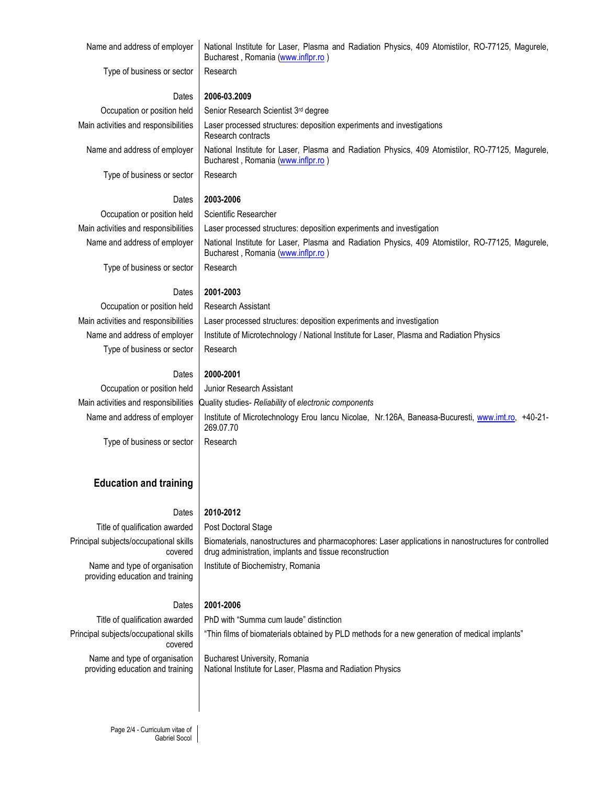Name and address of employer | National Institute for Laser, Plasma and Radiation Physics, 409 Atomistilor, RO-77125, Magurele, Bucharest , Romania (www.inflpr.ro )

Type of business or sector | Research

## Dates **2006-03.2009**

Occupation or position held  $\parallel$  Senior Research Scientist 3<sup>rd</sup> degree Main activities and responsibilities | Laser processed structures: deposition experiments and investigations Research contracts Name and address of employer | National Institute for Laser, Plasma and Radiation Physics, 409 Atomistilor, RO-77125, Magurele, Bucharest , Romania (www.inflpr.ro )

Type of business or sector | Research

#### Dates **2003-2006**

Occupation or position held | Scientific Researcher

Main activities and responsibilities Laser processed structures: deposition experiments and investigation Name and address of employer | National Institute for Laser, Plasma and Radiation Physics, 409 Atomistilor, RO-77125, Magurele, Bucharest , Romania (www.inflpr.ro ) Type of business or sector | Research

#### Dates **2001-2003**

Occupation or position held | Research Assistant Type of business or sector | Research

Main activities and responsibilities | Laser processed structures: deposition experiments and investigation Name and address of employer | Institute of Microtechnology / National Institute for Laser, Plasma and Radiation Physics

#### Dates **2000-2001**

Occupation or position held | Junior Research Assistant

Main activities and responsibilities Quality studies- *Reliability* of *electronic components* Name and address of employer | Institute of Microtechnology Erou Iancu Nicolae, Nr.126A, Baneasa-Bucuresti, www.imt.ro, +40-21-269.07.70 Type of business or sector | Research

#### **Education and training**

### Dates **2010-2012**

Title of qualification awarded | Post Doctoral Stage Principal subjects/occupational skills covered Name and type of organisation providing education and training

Biomaterials, nanostructures and pharmacophores: Laser applications in nanostructures for controlled drug administration, implants and tissue reconstruction Institute of Biochemistry, Romania

#### Dates **2001-2006**

Title of qualification awarded  $\parallel$  PhD with "Summa cum laude" distinction Principal subjects/occupational skills covered "Thin films of biomaterials obtained by PLD methods for a new generation of medical implants" Name and type of organisation providing education and training Bucharest University, Romania National Institute for Laser, Plasma and Radiation Physics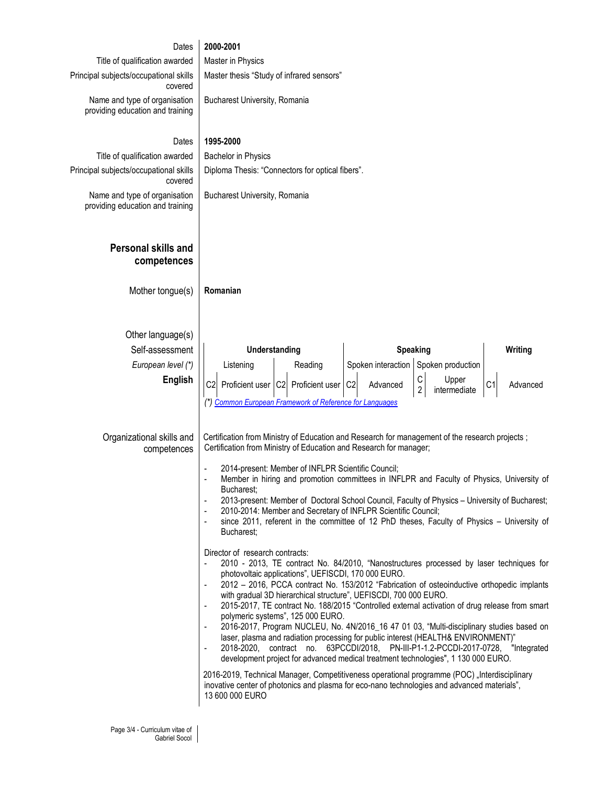| Dates                                                             | 2000-2001                                                                                                                                                                                                                                                                                                                                                   |
|-------------------------------------------------------------------|-------------------------------------------------------------------------------------------------------------------------------------------------------------------------------------------------------------------------------------------------------------------------------------------------------------------------------------------------------------|
| Title of qualification awarded                                    | Master in Physics                                                                                                                                                                                                                                                                                                                                           |
| Principal subjects/occupational skills<br>covered                 | Master thesis "Study of infrared sensors"                                                                                                                                                                                                                                                                                                                   |
| Name and type of organisation<br>providing education and training | Bucharest University, Romania                                                                                                                                                                                                                                                                                                                               |
| Dates                                                             | 1995-2000                                                                                                                                                                                                                                                                                                                                                   |
| Title of qualification awarded                                    | <b>Bachelor in Physics</b>                                                                                                                                                                                                                                                                                                                                  |
| Principal subjects/occupational skills<br>covered                 | Diploma Thesis: "Connectors for optical fibers".                                                                                                                                                                                                                                                                                                            |
| Name and type of organisation<br>providing education and training | Bucharest University, Romania                                                                                                                                                                                                                                                                                                                               |
| Personal skills and<br>competences                                |                                                                                                                                                                                                                                                                                                                                                             |
| Mother tongue(s)                                                  | Romanian                                                                                                                                                                                                                                                                                                                                                    |
| Other language(s)                                                 |                                                                                                                                                                                                                                                                                                                                                             |
| Self-assessment                                                   | <b>Speaking</b><br>Understanding<br>Writing                                                                                                                                                                                                                                                                                                                 |
| European level (*)                                                | Spoken interaction Spoken production<br>Listening<br>Reading                                                                                                                                                                                                                                                                                                |
| English                                                           | $\mathsf C$<br>Upper<br>C <sub>2</sub><br>C <sub>2</sub><br>Proficient user C2<br>Proficient user<br>Advanced<br>Advanced<br>$\overline{2}$<br>intermediate<br><b>Common European Framework of Reference for Languages</b>                                                                                                                                  |
| Organizational skills and<br>competences                          | Certification from Ministry of Education and Research for management of the research projects;<br>Certification from Ministry of Education and Research for manager;                                                                                                                                                                                        |
|                                                                   | 2014-present: Member of INFLPR Scientific Council;<br>Member in hiring and promotion committees in INFLPR and Faculty of Physics, University of<br>Bucharest;                                                                                                                                                                                               |
|                                                                   | 2013-present: Member of Doctoral School Council, Faculty of Physics - University of Bucharest;<br>٠                                                                                                                                                                                                                                                         |
|                                                                   | 2010-2014: Member and Secretary of INFLPR Scientific Council;<br>since 2011, referent in the committee of 12 PhD theses, Faculty of Physics - University of<br>$\overline{\phantom{a}}$<br>Bucharest;                                                                                                                                                       |
|                                                                   | Director of research contracts:<br>2010 - 2013, TE contract No. 84/2010, "Nanostructures processed by laser techniques for<br>photovoltaic applications", UEFISCDI, 170 000 EURO.<br>2012 - 2016, PCCA contract No. 153/2012 "Fabrication of osteoinductive orthopedic implants<br>٠                                                                        |
|                                                                   | with gradual 3D hierarchical structure", UEFISCDI, 700 000 EURO.<br>2015-2017, TE contract No. 188/2015 "Controlled external activation of drug release from smart<br>polymeric systems", 125 000 EURO.                                                                                                                                                     |
|                                                                   | 2016-2017, Program NUCLEU, No. 4N/2016_16 47 01 03, "Multi-disciplinary studies based on<br>٠<br>laser, plasma and radiation processing for public interest (HEALTH& ENVIRONMENT)"<br>2018-2020, contract no. 63PCCDI/2018, PN-III-P1-1.2-PCCDI-2017-0728, "Integrated<br>development project for advanced medical treatment technologies", 1 130 000 EURO. |
|                                                                   | 2016-2019, Technical Manager, Competitiveness operational programme (POC) "Interdisciplinary<br>inovative center of photonics and plasma for eco-nano technologies and advanced materials",<br>13 600 000 EURO                                                                                                                                              |